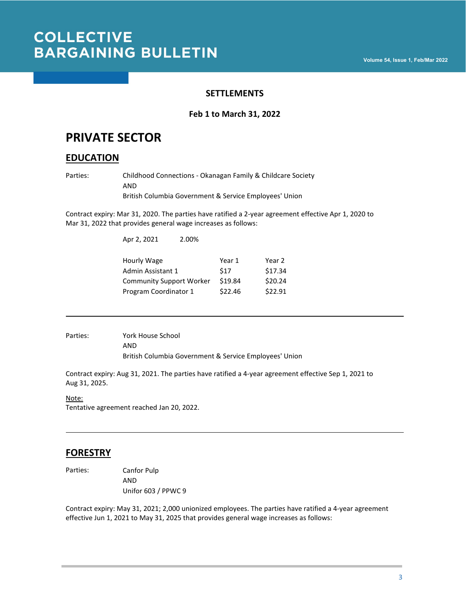### **SETTLEMENTS**

### **Feb 1 to March 31, 2022**

## **PRIVATE SECTOR**

## **EDUCATION**

Parties: Childhood Connections - Okanagan Family & Childcare Society AND British Columbia Government & Service Employees' Union

Contract expiry: Mar 31, 2020. The parties have ratified a 2-year agreement effective Apr 1, 2020 to Mar 31, 2022 that provides general wage increases as follows:

| Apr 2, 2021                     | 2.00% |         |         |
|---------------------------------|-------|---------|---------|
| Hourly Wage                     |       | Year 1  | Year 2  |
| Admin Assistant 1               |       | \$17    | \$17.34 |
| <b>Community Support Worker</b> |       | \$19.84 | \$20.24 |
| Program Coordinator 1           |       | \$22.46 | \$22.91 |

Parties: York House School AND British Columbia Government & Service Employees' Union

Contract expiry: Aug 31, 2021. The parties have ratified a 4-year agreement effective Sep 1, 2021 to Aug 31, 2025.

Note: Tentative agreement reached Jan 20, 2022.

## **FORESTRY**

Parties: Canfor Pulp AND Unifor 603 / PPWC 9

Contract expiry: May 31, 2021; 2,000 unionized employees. The parties have ratified a 4-year agreement effective Jun 1, 2021 to May 31, 2025 that provides general wage increases as follows: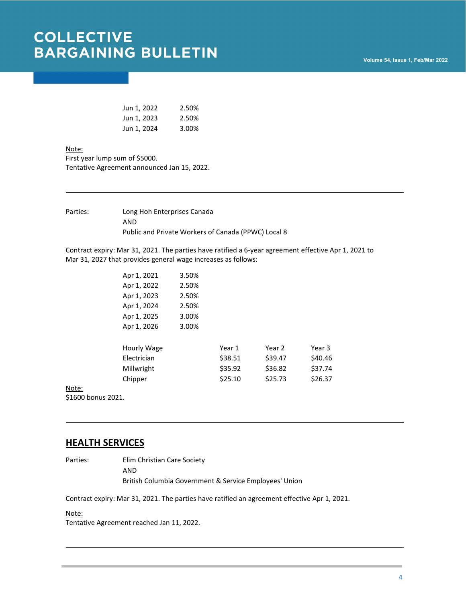| Jun 1, 2022 | 2.50% |
|-------------|-------|
| Jun 1, 2023 | 2.50% |
| Jun 1, 2024 | 3.00% |

Note:

First year lump sum of \$5000. Tentative Agreement announced Jan 15, 2022.

Parties: Long Hoh Enterprises Canada AND Public and Private Workers of Canada (PPWC) Local 8

Contract expiry: Mar 31, 2021. The parties have ratified a 6-year agreement effective Apr 1, 2021 to Mar 31, 2027 that provides general wage increases as follows:

| Apr 1, 2021 | 3.50% |         |         |         |
|-------------|-------|---------|---------|---------|
| Apr 1, 2022 | 2.50% |         |         |         |
| Apr 1, 2023 | 2.50% |         |         |         |
| Apr 1, 2024 | 2.50% |         |         |         |
| Apr 1, 2025 | 3.00% |         |         |         |
| Apr 1, 2026 | 3.00% |         |         |         |
|             |       |         |         |         |
| Hourly Wage |       | Year 1  | Year 2  | Year 3  |
| Electrician |       | \$38.51 | \$39.47 | \$40.46 |
| Millwright  |       | \$35.92 | \$36.82 | \$37.74 |
| Chipper     |       | \$25.10 | \$25.73 | \$26.37 |
|             |       |         |         |         |

Note: \$1600 bonus 2021.

### **HEALTH SERVICES**

Parties: Elim Christian Care Society AND

British Columbia Government & Service Employees' Union

Contract expiry: Mar 31, 2021. The parties have ratified an agreement effective Apr 1, 2021.

#### Note:

Tentative Agreement reached Jan 11, 2022.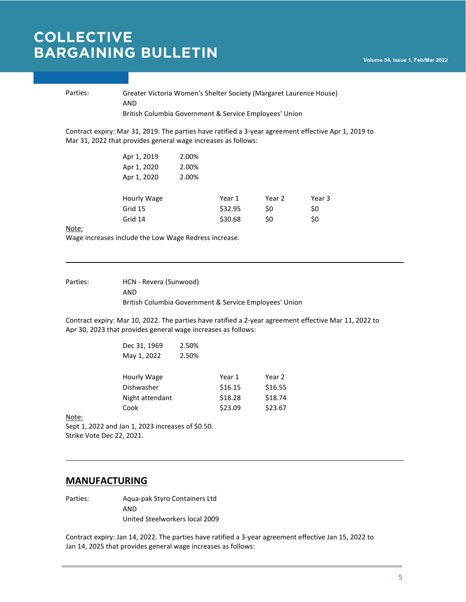#### Parties: Greater Victoria Women's Shelter Society (Margaret Laurence House) AND British Columbia Government & Service Employees' Union

Contract expiry: Mar 31, 2019. The parties have ratified a 3-year agreement effective Apr 1, 2019 to Mar 31, 2022 that provides general wage increases as follows:

| Apr 1, 2019 | 2.00% |         |        |        |
|-------------|-------|---------|--------|--------|
| Apr 1, 2020 | 2.00% |         |        |        |
| Apr 1, 2020 | 2.00% |         |        |        |
|             |       |         |        |        |
| Hourly Wage |       | Year 1  | Year 2 | Year 3 |
| Grid 15     |       | \$32.95 | S0     | \$0    |
| Grid 14     |       | \$30.68 | S0     | \$0    |
|             |       |         |        |        |

Note:

Wage increases include the Low Wage Redress increase.

Parties: HCN - Revera (Sunwood) AND British Columbia Government & Service Employees' Union

Contract expiry: Mar 10, 2022. The parties have ratified a 2-year agreement effective Mar 11, 2022 to Apr 30, 2023 that provides general wage increases as follows:

| Dec 31, 1969    | 2.50% |         |         |
|-----------------|-------|---------|---------|
| May 1, 2022     | 2.50% |         |         |
|                 |       |         |         |
| Hourly Wage     |       | Year 1  | Year 2  |
| Dishwasher      |       | \$16.15 | \$16.55 |
| Night attendant |       | \$18.28 | \$18.74 |
| Cook            |       | \$23.09 | \$23.67 |

Note:

Sept 1, 2022 and Jan 1, 2023 increases of \$0.50. Strike Vote Dec 22, 2021.

### **MANUFACTURING**

Parties: Aqua-pak Styro Containers Ltd AND United Steelworkers local 2009

Contract expiry: Jan 14, 2022. The parties have ratified a 3-year agreement effective Jan 15, 2022 to Jan 14, 2025 that provides general wage increases as follows: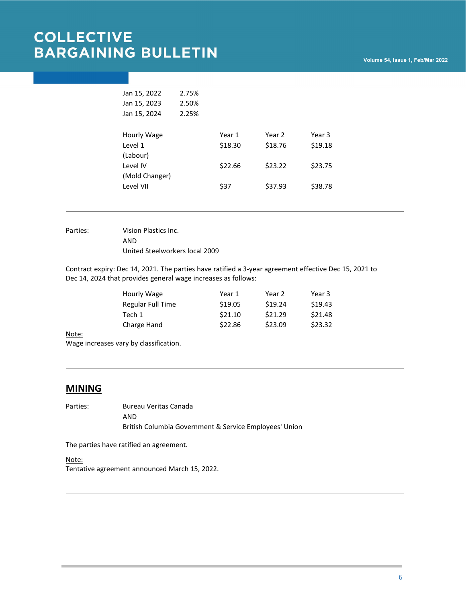| Jan 15, 2022   | 2.75% |         |         |         |
|----------------|-------|---------|---------|---------|
| Jan 15, 2023   | 2.50% |         |         |         |
| Jan 15, 2024   | 2.25% |         |         |         |
|                |       |         |         |         |
| Hourly Wage    |       | Year 1  | Year 2  | Year 3  |
| Level 1        |       | \$18.30 | \$18.76 | \$19.18 |
| (Labour)       |       |         |         |         |
| Level IV       |       | \$22.66 | \$23.22 | \$23.75 |
| (Mold Changer) |       |         |         |         |
| Level VII      |       | \$37    | \$37.93 | \$38.78 |
|                |       |         |         |         |

Parties: Vision Plastics Inc. AND United Steelworkers local 2009

Contract expiry: Dec 14, 2021. The parties have ratified a 3-year agreement effective Dec 15, 2021 to Dec 14, 2024 that provides general wage increases as follows:

| Hourly Wage              | Year 1  | Year 2  | Year 3  |
|--------------------------|---------|---------|---------|
| <b>Regular Full Time</b> | \$19.05 | \$19.24 | \$19.43 |
| Tech 1                   | \$21.10 | \$21.29 | \$21.48 |
| Charge Hand              | \$22.86 | \$23.09 | \$23.32 |
|                          |         |         |         |

Note:

Wage increases vary by classification.

### **MINING**

Parties: Bureau Veritas Canada AND British Columbia Government & Service Employees' Union

The parties have ratified an agreement.

Note: Tentative agreement announced March 15, 2022.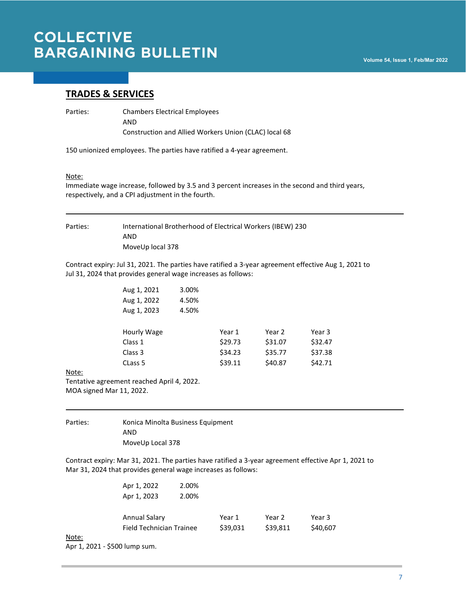### **TRADES & SERVICES**

Parties: Chambers Electrical Employees

AND Construction and Allied Workers Union (CLAC) local 68

150 unionized employees. The parties have ratified a 4-year agreement.

#### Note:

Immediate wage increase, followed by 3.5 and 3 percent increases in the second and third years, respectively, and a CPI adjustment in the fourth.

Parties: International Brotherhood of Electrical Workers (IBEW) 230 AND MoveUp local 378

Contract expiry: Jul 31, 2021. The parties have ratified a 3-year agreement effective Aug 1, 2021 to Jul 31, 2024 that provides general wage increases as follows:

| Aug 1, 2021 | 3.00% |         |         |         |
|-------------|-------|---------|---------|---------|
| Aug 1, 2022 | 4.50% |         |         |         |
| Aug 1, 2023 | 4.50% |         |         |         |
|             |       |         |         |         |
| Hourly Wage |       | Year 1  | Year 2  | Year 3  |
| Class 1     |       | \$29.73 | \$31.07 | \$32.47 |
| Class 3     |       | \$34.23 | \$35.77 | \$37.38 |
| CLass 5     |       | \$39.11 | \$40.87 | \$42.71 |
|             |       |         |         |         |

Note:

Tentative agreement reached April 4, 2022. MOA signed Mar 11, 2022.

| Parties: | Konica Minolta Business Equipment |
|----------|-----------------------------------|
|          | AND                               |
|          | MoveUp Local 378                  |

Contract expiry: Mar 31, 2021. The parties have ratified a 3-year agreement effective Apr 1, 2021 to Mar 31, 2024 that provides general wage increases as follows:

|       | Apr 1, 2022              | 2.00% |          |          |          |
|-------|--------------------------|-------|----------|----------|----------|
|       | Apr 1, 2023              | 2.00% |          |          |          |
|       | Annual Salary            |       | Year 1   | Year 2   | Year 3   |
|       | Field Technician Trainee |       | \$39,031 | \$39,811 | \$40,607 |
| Note: |                          |       |          |          |          |

Apr 1, 2021 - \$500 lump sum.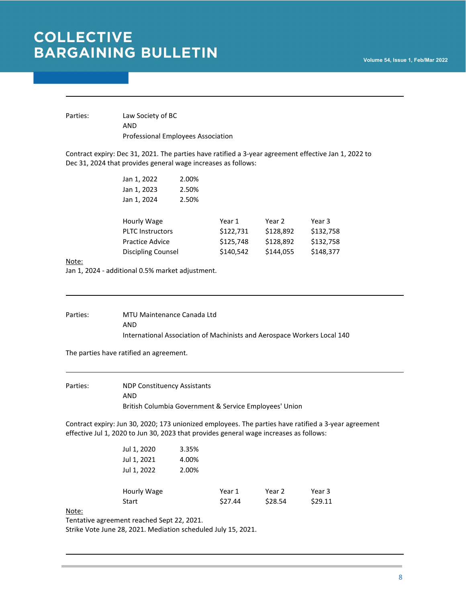Parties: Law Society of BC AND Professional Employees Association

Contract expiry: Dec 31, 2021. The parties have ratified a 3-year agreement effective Jan 1, 2022 to Dec 31, 2024 that provides general wage increases as follows:

| Jan 1, 2022             | 2.00% |           |           |           |
|-------------------------|-------|-----------|-----------|-----------|
| Jan 1, 2023             | 2.50% |           |           |           |
| Jan 1, 2024             | 2.50% |           |           |           |
|                         |       |           |           |           |
| Hourly Wage             |       | Year 1    | Year 2    | Year 3    |
| <b>PLTC Instructors</b> |       | \$122,731 | \$128,892 | \$132,758 |
| <b>Practice Advice</b>  |       | \$125,748 | \$128,892 | \$132,758 |
| Discipling Counsel      |       | \$140,542 | \$144,055 | \$148,377 |
|                         |       |           |           |           |

#### Note:

Jan 1, 2024 - additional 0.5% market adjustment.

Parties: MTU Maintenance Canada Ltd AND International Association of Machinists and Aerospace Workers Local 140

The parties have ratified an agreement.

Parties: NDP Constituency Assistants AND British Columbia Government & Service Employees' Union

Contract expiry: Jun 30, 2020; 173 unionized employees. The parties have ratified a 3-year agreement effective Jul 1, 2020 to Jun 30, 2023 that provides general wage increases as follows:

| Start       |       | \$27.44 | \$28.54 | \$29.11 |
|-------------|-------|---------|---------|---------|
| Hourly Wage |       | Year 1  | Year 2  | Year 3  |
| Jul 1, 2022 | 2.00% |         |         |         |
| Jul 1, 2021 | 4.00% |         |         |         |
| Jul 1, 2020 | 3.35% |         |         |         |

Note:

Tentative agreement reached Sept 22, 2021.

Strike Vote June 28, 2021. Mediation scheduled July 15, 2021.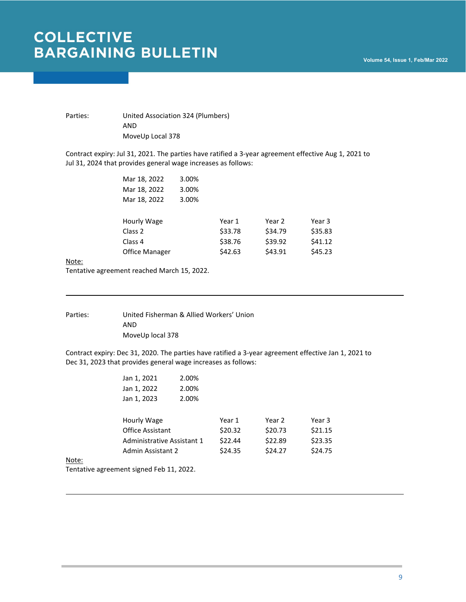Parties: United Association 324 (Plumbers) AND MoveUp Local 378

Contract expiry: Jul 31, 2021. The parties have ratified a 3-year agreement effective Aug 1, 2021 to Jul 31, 2024 that provides general wage increases as follows:

| Mar 18, 2022   | 3.00% |         |         |         |
|----------------|-------|---------|---------|---------|
| Mar 18, 2022   | 3.00% |         |         |         |
| Mar 18, 2022   | 3.00% |         |         |         |
|                |       |         |         |         |
| Hourly Wage    |       | Year 1  | Year 2  | Year 3  |
| Class 2        |       | \$33.78 | \$34.79 | \$35.83 |
| Class 4        |       | \$38.76 | \$39.92 | \$41.12 |
| Office Manager |       | \$42.63 | \$43.91 | \$45.23 |
|                |       |         |         |         |

Note:

Tentative agreement reached March 15, 2022.

Parties: United Fisherman & Allied Workers' Union AND MoveUp local 378

Contract expiry: Dec 31, 2020. The parties have ratified a 3-year agreement effective Jan 1, 2021 to Dec 31, 2023 that provides general wage increases as follows:

| Jan 1, 2021                | 2.00% |         |         |         |
|----------------------------|-------|---------|---------|---------|
| Jan 1, 2022                | 2.00% |         |         |         |
| Jan 1, 2023                | 2.00% |         |         |         |
| Hourly Wage                |       | Year 1  | Year 2  | Year 3  |
| Office Assistant           |       | \$20.32 | \$20.73 | \$21.15 |
| Administrative Assistant 1 |       | \$22.44 | \$22.89 | \$23.35 |
| Admin Assistant 2          |       | \$24.35 | \$24.27 | \$24.75 |
|                            |       |         |         |         |

Note:

Tentative agreement signed Feb 11, 2022.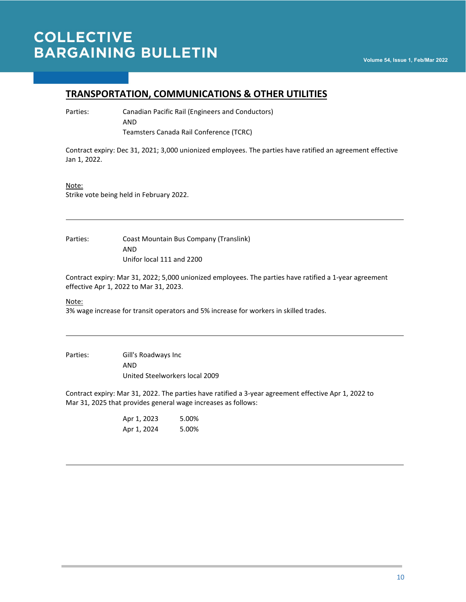## **TRANSPORTATION, COMMUNICATIONS & OTHER UTILITIES**

Parties: Canadian Pacific Rail (Engineers and Conductors) AND Teamsters Canada Rail Conference (TCRC)

Contract expiry: Dec 31, 2021; 3,000 unionized employees. The parties have ratified an agreement effective Jan 1, 2022.

#### Note:

Strike vote being held in February 2022.

Parties: Coast Mountain Bus Company (Translink) AND Unifor local 111 and 2200

Contract expiry: Mar 31, 2022; 5,000 unionized employees. The parties have ratified a 1-year agreement effective Apr 1, 2022 to Mar 31, 2023.

#### Note:

3% wage increase for transit operators and 5% increase for workers in skilled trades.

Parties: Gill's Roadways Inc AND United Steelworkers local 2009

Contract expiry: Mar 31, 2022. The parties have ratified a 3-year agreement effective Apr 1, 2022 to Mar 31, 2025 that provides general wage increases as follows:

| Apr 1, 2023 | 5.00% |
|-------------|-------|
| Apr 1, 2024 | 5.00% |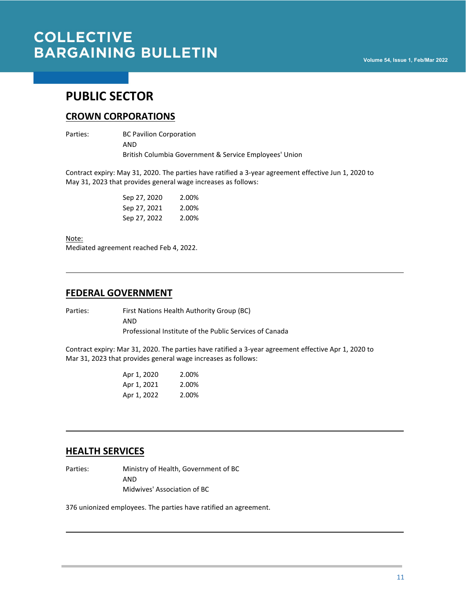## **PUBLIC SECTOR**

### **CROWN CORPORATIONS**

Parties: BC Pavilion Corporation AND British Columbia Government & Service Employees' Union

Contract expiry: May 31, 2020. The parties have ratified a 3-year agreement effective Jun 1, 2020 to May 31, 2023 that provides general wage increases as follows:

| Sep 27, 2020 | 2.00% |
|--------------|-------|
| Sep 27, 2021 | 2.00% |
| Sep 27, 2022 | 2.00% |

Note:

Mediated agreement reached Feb 4, 2022.

### **FEDERAL GOVERNMENT**

Parties: First Nations Health Authority Group (BC) AND Professional Institute of the Public Services of Canada

Contract expiry: Mar 31, 2020. The parties have ratified a 3-year agreement effective Apr 1, 2020 to Mar 31, 2023 that provides general wage increases as follows:

| Apr 1, 2020 | 2.00% |
|-------------|-------|
| Apr 1, 2021 | 2.00% |
| Apr 1, 2022 | 2.00% |

### **HEALTH SERVICES**

Parties: Ministry of Health, Government of BC AND Midwives' Association of BC

376 unionized employees. The parties have ratified an agreement.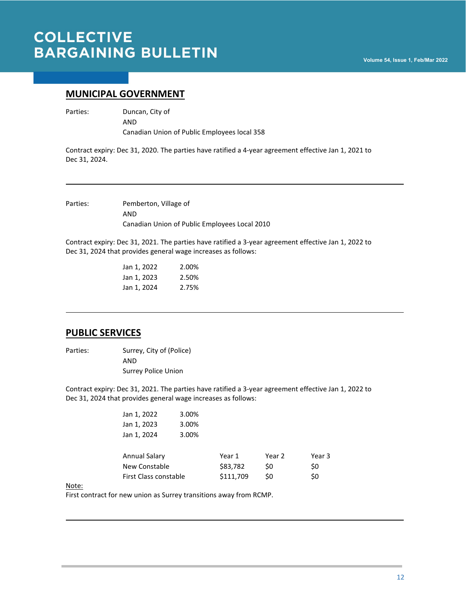### **MUNICIPAL GOVERNMENT**

Parties: Duncan, City of AND

Canadian Union of Public Employees local 358

Contract expiry: Dec 31, 2020. The parties have ratified a 4-year agreement effective Jan 1, 2021 to Dec 31, 2024.

Parties: Pemberton, Village of AND Canadian Union of Public Employees Local 2010

Contract expiry: Dec 31, 2021. The parties have ratified a 3-year agreement effective Jan 1, 2022 to Dec 31, 2024 that provides general wage increases as follows:

| Jan 1, 2022 | 2.00% |
|-------------|-------|
| Jan 1, 2023 | 2.50% |
| Jan 1, 2024 | 2.75% |

### **PUBLIC SERVICES**

Parties: Surrey, City of (Police) AND Surrey Police Union

Contract expiry: Dec 31, 2021. The parties have ratified a 3-year agreement effective Jan 1, 2022 to Dec 31, 2024 that provides general wage increases as follows:

| Jan 1, 2022<br>Jan 1, 2023 | 3.00%<br>3.00% |           |        |        |
|----------------------------|----------------|-----------|--------|--------|
| Jan 1, 2024                | 3.00%          |           |        |        |
| Annual Salary              |                | Year 1    | Year 2 | Year 3 |
| New Constable              |                | \$83,782  | \$0    | \$0    |
| First Class constable      |                | \$111,709 | \$0    | \$0    |

Note:

First contract for new union as Surrey transitions away from RCMP.